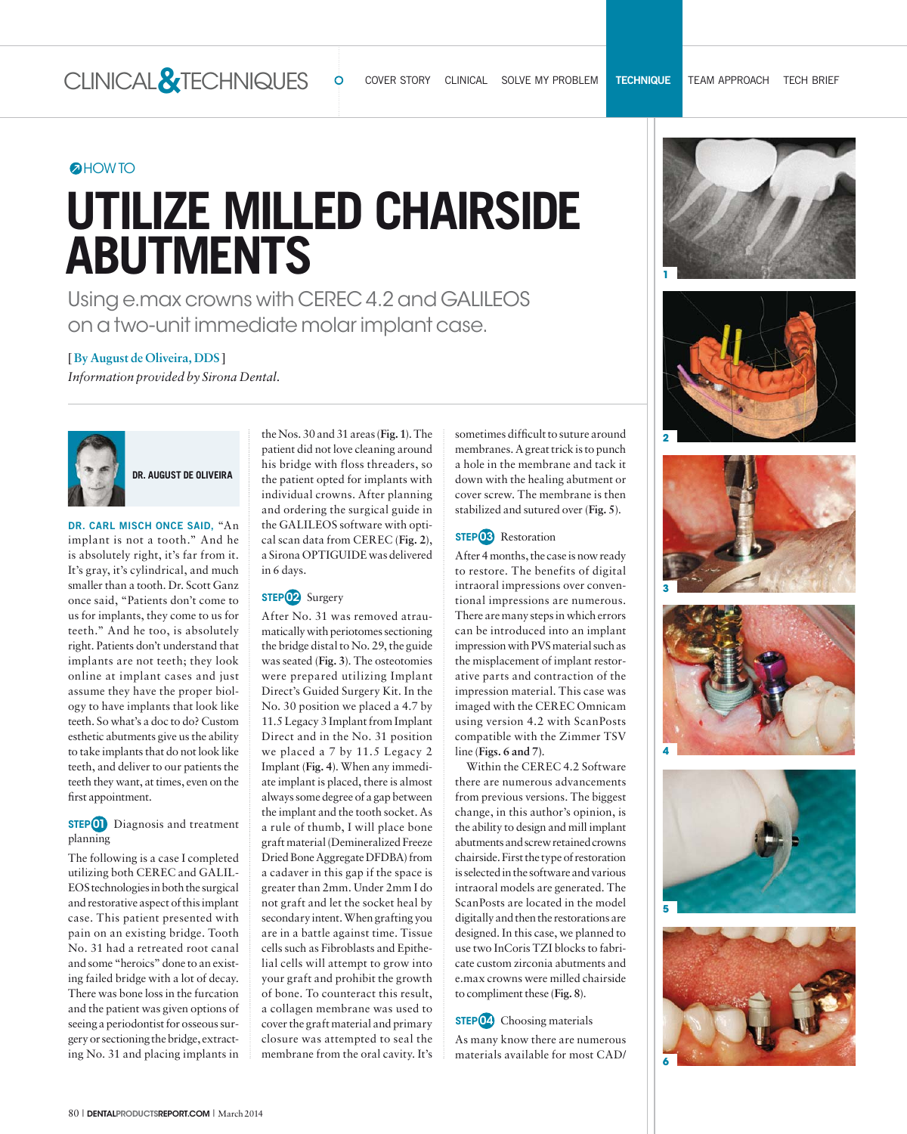## **OHOW TO**

# **UTILIZE MILLED CHAIRSIDE ABUTMENTS**

Using e.max crowns with CEREC 4.2 and GALILEOS on a two-unit immediate molar implant case.

## **[ By August de Oliveira, DDS ]**

*Information provided by Sirona Dental.*



**DR. AUGUST DE OLIVEIRA**

DR. CARL MISCH ONCE SAID, "An implant is not a tooth." And he is absolutely right, it's far from it. It's gray, it's cylindrical, and much smaller than a tooth. Dr. Scott Ganz once said, "Patients don't come to us for implants, they come to us for teeth." And he too, is absolutely right. Patients don't understand that implants are not teeth; they look online at implant cases and just assume they have the proper biology to have implants that look like teeth. So what's a doc to do? Custom esthetic abutments give us the ability to take implants that do not look like teeth, and deliver to our patients the teeth they want, at times, even on the first appointment.

#### **STEP 01** Diagnosis and treatment planning

The following is a case I completed utilizing both CEREC and GALIL-EOS technologies in both the surgical and restorative aspect of this implant case. This patient presented with pain on an existing bridge. Tooth No. 31 had a retreated root canal and some "heroics" done to an existing failed bridge with a lot of decay. There was bone loss in the furcation and the patient was given options of seeing a periodontist for osseous surgery or sectioning the bridge, extracting No. 31 and placing implants in

the Nos. 30 and 31 areas (**Fig. 1**). The patient did not love cleaning around his bridge with floss threaders, so the patient opted for implants with individual crowns. After planning and ordering the surgical guide in the GALILEOS software with optical scan data from CEREC (**Fig. 2**), a Sirona OPTIGUIDE was delivered in 6 days.

#### **STEP 02** Surgery

After No. 31 was removed atraumatically with periotomes sectioning the bridge distal to No. 29, the guide was seated (**Fig. 3**). The osteotomies were prepared utilizing Implant Direct's Guided Surgery Kit. In the No. 30 position we placed a 4.7 by 11.5 Legacy 3 Implant from Implant Direct and in the No. 31 position we placed a 7 by 11.5 Legacy 2 Implant (**Fig. 4**). When any immediate implant is placed, there is almost always some degree of a gap between the implant and the tooth socket. As a rule of thumb, I will place bone graft material (Demineralized Freeze Dried Bone Aggregate DFDBA) from a cadaver in this gap if the space is greater than 2mm. Under 2mm I do not graft and let the socket heal by secondary intent. When grafting you are in a battle against time. Tissue cells such as Fibroblasts and Epithelial cells will attempt to grow into your graft and prohibit the growth of bone. To counteract this result, a collagen membrane was used to cover the graft material and primary closure was attempted to seal the membrane from the oral cavity. It's sometimes difficult to suture around membranes. A great trick is to punch a hole in the membrane and tack it down with the healing abutment or cover screw. The membrane is then stabilized and sutured over (**Fig. 5**).

#### **STEP<sup>03</sup>** Restoration

After 4 months, the case is now ready to restore. The benefits of digital intraoral impressions over conventional impressions are numerous. There are many steps in which errors can be introduced into an implant impression with PVS material such as the misplacement of implant restorative parts and contraction of the impression material. This case was imaged with the CEREC Omnicam using version 4.2 with ScanPosts compatible with the Zimmer TSV line (**Figs. 6 and 7)**.

Within the CEREC 4.2 Software there are numerous advancements from previous versions. The biggest change, in this author's opinion, is the ability to design and mill implant abutments and screw retained crowns chairside. First the type of restoration is selected in the software and various intraoral models are generated. The ScanPosts are located in the model digitally and then the restorations are designed. In this case, we planned to use two InCoris TZI blocks to fabricate custom zirconia abutments and e.max crowns were milled chairside to compliment these (**Fig. 8**).

#### **STEP 04** Choosing materials

As many know there are numerous materials available for most CAD/